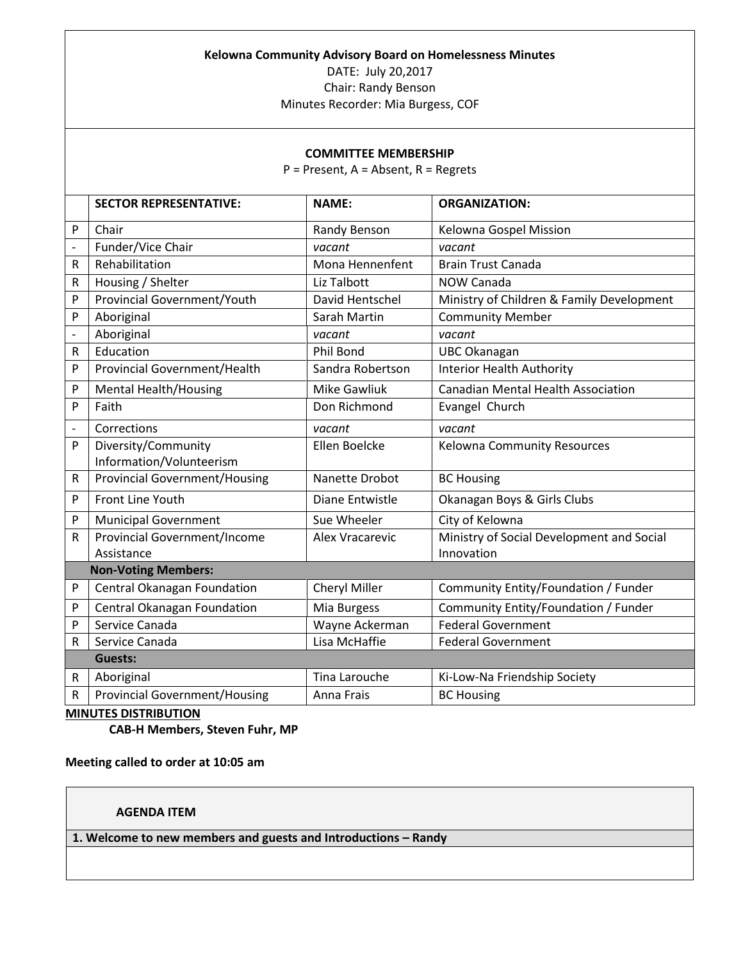#### **Kelowna Community Advisory Board on Homelessness Minutes**

DATE: July 20,2017 Chair: Randy Benson

Minutes Recorder: Mia Burgess, COF

#### **COMMITTEE MEMBERSHIP**

P = Present, A = Absent, R = Regrets

|                          | <b>SECTOR REPRESENTATIVE:</b>        | <b>NAME:</b>           | <b>ORGANIZATION:</b>                      |
|--------------------------|--------------------------------------|------------------------|-------------------------------------------|
| P                        | Chair                                | Randy Benson           | Kelowna Gospel Mission                    |
| $\overline{\phantom{m}}$ | Funder/Vice Chair                    | vacant                 | vacant                                    |
| R                        | Rehabilitation                       | Mona Hennenfent        | <b>Brain Trust Canada</b>                 |
| R                        | Housing / Shelter                    | Liz Talbott            | <b>NOW Canada</b>                         |
| P                        | <b>Provincial Government/Youth</b>   | David Hentschel        | Ministry of Children & Family Development |
| P                        | Aboriginal                           | Sarah Martin           | <b>Community Member</b>                   |
| $\qquad \qquad -$        | Aboriginal                           | vacant                 | vacant                                    |
| R                        | Education                            | Phil Bond              | <b>UBC Okanagan</b>                       |
| P                        | <b>Provincial Government/Health</b>  | Sandra Robertson       | <b>Interior Health Authority</b>          |
| P                        | <b>Mental Health/Housing</b>         | <b>Mike Gawliuk</b>    | <b>Canadian Mental Health Association</b> |
| P                        | Faith                                | Don Richmond           | Evangel Church                            |
| $\overline{\phantom{a}}$ | Corrections                          | vacant                 | vacant                                    |
| P                        | Diversity/Community                  | Ellen Boelcke          | Kelowna Community Resources               |
|                          | Information/Volunteerism             |                        |                                           |
| $\mathsf{R}$             | <b>Provincial Government/Housing</b> | Nanette Drobot         | <b>BC Housing</b>                         |
| P                        | Front Line Youth                     | Diane Entwistle        | Okanagan Boys & Girls Clubs               |
| P                        | <b>Municipal Government</b>          | Sue Wheeler            | City of Kelowna                           |
| R                        | <b>Provincial Government/Income</b>  | <b>Alex Vracarevic</b> | Ministry of Social Development and Social |
|                          | Assistance                           |                        | Innovation                                |
|                          | <b>Non-Voting Members:</b>           |                        |                                           |
| P                        | Central Okanagan Foundation          | Cheryl Miller          | Community Entity/Foundation / Funder      |
| P                        | Central Okanagan Foundation          | Mia Burgess            | Community Entity/Foundation / Funder      |
| P                        | Service Canada                       | Wayne Ackerman         | <b>Federal Government</b>                 |
| R                        | Service Canada                       | Lisa McHaffie          | <b>Federal Government</b>                 |
|                          | Guests:                              |                        |                                           |
| R                        | Aboriginal                           | Tina Larouche          | Ki-Low-Na Friendship Society              |
| R                        | <b>Provincial Government/Housing</b> | Anna Frais             | <b>BC Housing</b>                         |

### **MINUTES DISTRIBUTION**

**CAB-H Members, Steven Fuhr, MP**

**Meeting called to order at 10:05 am**

**AGENDA ITEM**

**1. Welcome to new members and guests and Introductions – Randy**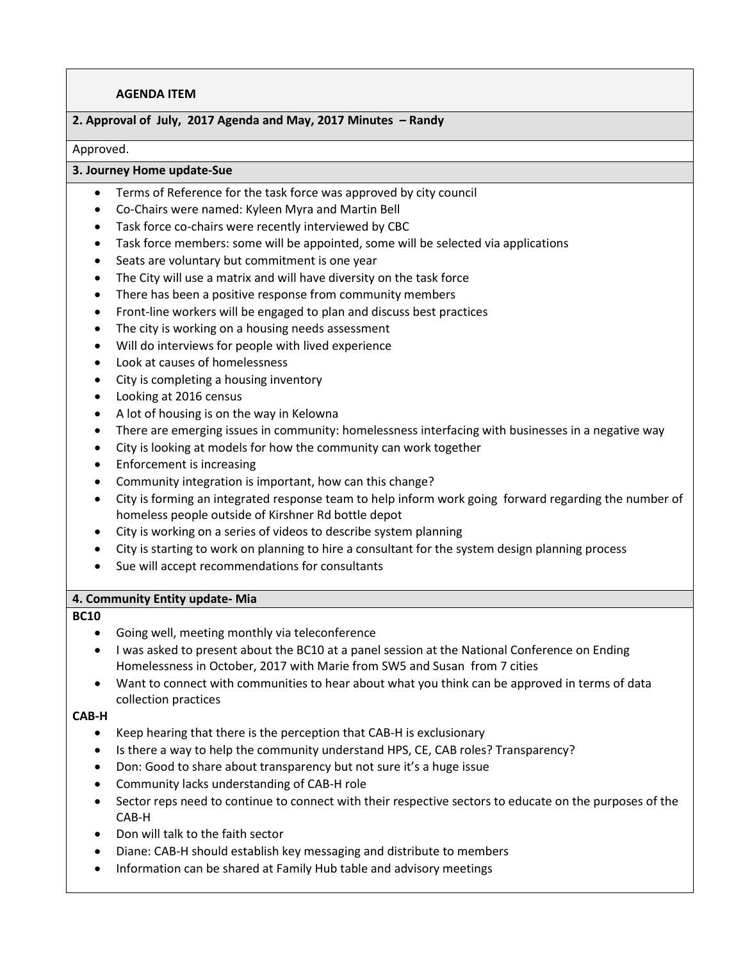## **AGENDA ITEM**

## **2. Approval of July, 2017 Agenda and May, 2017 Minutes – Randy**

#### Approved.

## **3. Journey Home update-Sue**

- Terms of Reference for the task force was approved by city council
- Co-Chairs were named: Kyleen Myra and Martin Bell
- Task force co-chairs were recently interviewed by CBC
- Task force members: some will be appointed, some will be selected via applications
- Seats are voluntary but commitment is one year
- The City will use a matrix and will have diversity on the task force
- There has been a positive response from community members
- Front-line workers will be engaged to plan and discuss best practices
- The city is working on a housing needs assessment
- Will do interviews for people with lived experience
- Look at causes of homelessness
- City is completing a housing inventory
- Looking at 2016 census
- A lot of housing is on the way in Kelowna
- There are emerging issues in community: homelessness interfacing with businesses in a negative way
- City is looking at models for how the community can work together
- Enforcement is increasing
- Community integration is important, how can this change?
- City is forming an integrated response team to help inform work going forward regarding the number of homeless people outside of Kirshner Rd bottle depot
- City is working on a series of videos to describe system planning
- City is starting to work on planning to hire a consultant for the system design planning process
- Sue will accept recommendations for consultants

#### **4. Community Entity update- Mia**

#### **BC10**

- Going well, meeting monthly via teleconference
- I was asked to present about the BC10 at a panel session at the National Conference on Ending Homelessness in October, 2017 with Marie from SW5 and Susan from 7 cities
- Want to connect with communities to hear about what you think can be approved in terms of data collection practices

#### **CAB-H**

- Keep hearing that there is the perception that CAB-H is exclusionary
- Is there a way to help the community understand HPS, CE, CAB roles? Transparency?
- Don: Good to share about transparency but not sure it's a huge issue
- Community lacks understanding of CAB-H role
- Sector reps need to continue to connect with their respective sectors to educate on the purposes of the CAB-H
- Don will talk to the faith sector
- Diane: CAB-H should establish key messaging and distribute to members
- Information can be shared at Family Hub table and advisory meetings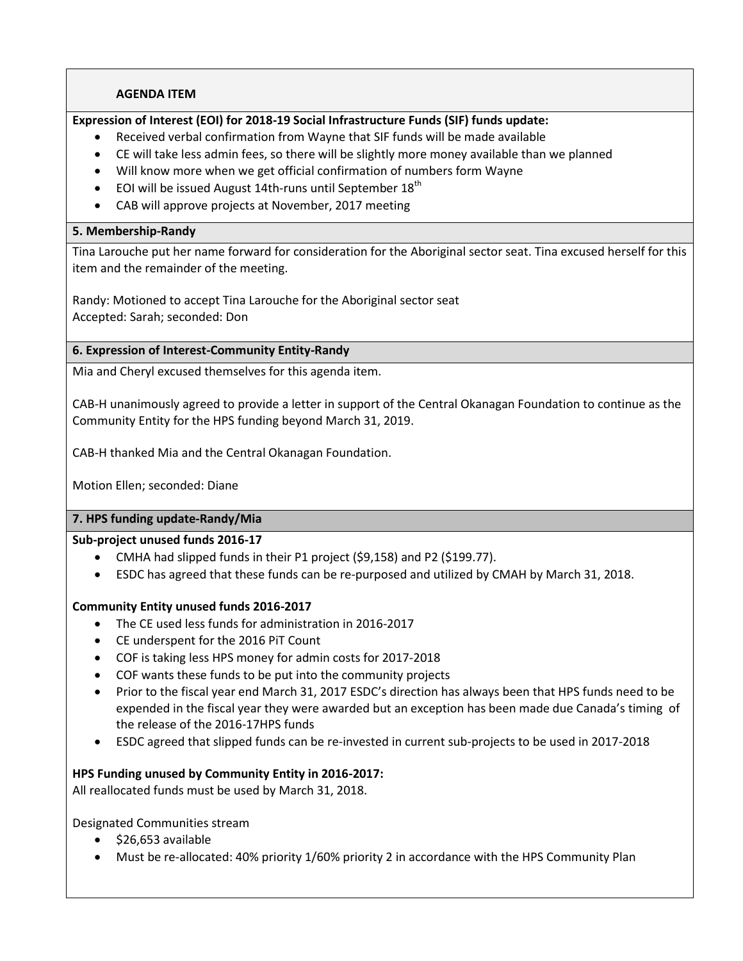## **AGENDA ITEM**

# **Expression of Interest (EOI) for 2018-19 Social Infrastructure Funds (SIF) funds update:**

- Received verbal confirmation from Wayne that SIF funds will be made available
- CE will take less admin fees, so there will be slightly more money available than we planned
- Will know more when we get official confirmation of numbers form Wayne
- $\bullet$  EOI will be issued August 14th-runs until September 18<sup>th</sup>
- CAB will approve projects at November, 2017 meeting

### **5. Membership-Randy**

Tina Larouche put her name forward for consideration for the Aboriginal sector seat. Tina excused herself for this item and the remainder of the meeting.

Randy: Motioned to accept Tina Larouche for the Aboriginal sector seat Accepted: Sarah; seconded: Don

### **6. Expression of Interest-Community Entity-Randy**

Mia and Cheryl excused themselves for this agenda item.

CAB-H unanimously agreed to provide a letter in support of the Central Okanagan Foundation to continue as the Community Entity for the HPS funding beyond March 31, 2019.

CAB-H thanked Mia and the Central Okanagan Foundation.

Motion Ellen; seconded: Diane

### **7. HPS funding update-Randy/Mia**

### **Sub-project unused funds 2016-17**

- CMHA had slipped funds in their P1 project (\$9,158) and P2 (\$199.77).
- ESDC has agreed that these funds can be re-purposed and utilized by CMAH by March 31, 2018.

### **Community Entity unused funds 2016-2017**

- The CE used less funds for administration in 2016-2017
- CE underspent for the 2016 PiT Count
- COF is taking less HPS money for admin costs for 2017-2018
- COF wants these funds to be put into the community projects
- Prior to the fiscal year end March 31, 2017 ESDC's direction has always been that HPS funds need to be expended in the fiscal year they were awarded but an exception has been made due Canada's timing of the release of the 2016-17HPS funds
- ESDC agreed that slipped funds can be re-invested in current sub-projects to be used in 2017-2018

### **HPS Funding unused by Community Entity in 2016-2017:**

All reallocated funds must be used by March 31, 2018.

Designated Communities stream

- $\bullet$  \$26,653 available
- Must be re-allocated: 40% priority 1/60% priority 2 in accordance with the HPS Community Plan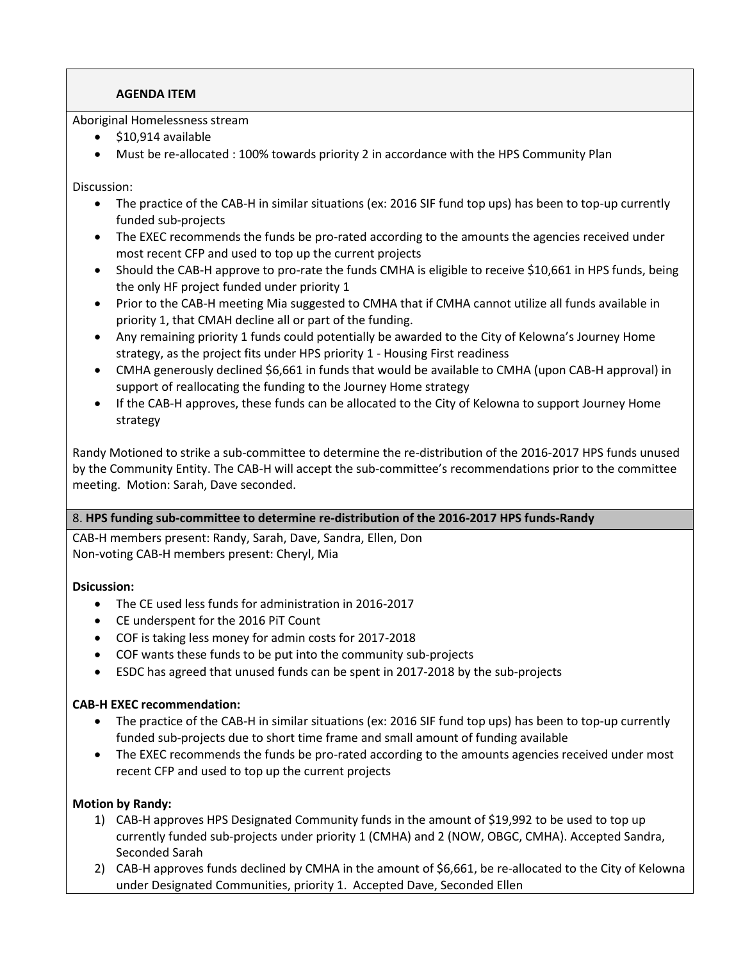# **AGENDA ITEM**

Aboriginal Homelessness stream

- $\bullet$  \$10,914 available
- Must be re-allocated : 100% towards priority 2 in accordance with the HPS Community Plan

Discussion:

- The practice of the CAB-H in similar situations (ex: 2016 SIF fund top ups) has been to top-up currently funded sub-projects
- The EXEC recommends the funds be pro-rated according to the amounts the agencies received under most recent CFP and used to top up the current projects
- Should the CAB-H approve to pro-rate the funds CMHA is eligible to receive \$10,661 in HPS funds, being the only HF project funded under priority 1
- Prior to the CAB-H meeting Mia suggested to CMHA that if CMHA cannot utilize all funds available in priority 1, that CMAH decline all or part of the funding.
- Any remaining priority 1 funds could potentially be awarded to the City of Kelowna's Journey Home strategy, as the project fits under HPS priority 1 - Housing First readiness
- CMHA generously declined \$6,661 in funds that would be available to CMHA (upon CAB-H approval) in support of reallocating the funding to the Journey Home strategy
- If the CAB-H approves, these funds can be allocated to the City of Kelowna to support Journey Home strategy

Randy Motioned to strike a sub-committee to determine the re-distribution of the 2016-2017 HPS funds unused by the Community Entity. The CAB-H will accept the sub-committee's recommendations prior to the committee meeting. Motion: Sarah, Dave seconded.

# 8. **HPS funding sub-committee to determine re-distribution of the 2016-2017 HPS funds-Randy**

CAB-H members present: Randy, Sarah, Dave, Sandra, Ellen, Don Non-voting CAB-H members present: Cheryl, Mia

# **Dsicussion:**

- The CE used less funds for administration in 2016-2017
- CE underspent for the 2016 PiT Count
- COF is taking less money for admin costs for 2017-2018
- COF wants these funds to be put into the community sub-projects
- ESDC has agreed that unused funds can be spent in 2017-2018 by the sub-projects

# **CAB-H EXEC recommendation:**

- The practice of the CAB-H in similar situations (ex: 2016 SIF fund top ups) has been to top-up currently funded sub-projects due to short time frame and small amount of funding available
- The EXEC recommends the funds be pro-rated according to the amounts agencies received under most recent CFP and used to top up the current projects

# **Motion by Randy:**

- 1) CAB-H approves HPS Designated Community funds in the amount of \$19,992 to be used to top up currently funded sub-projects under priority 1 (CMHA) and 2 (NOW, OBGC, CMHA). Accepted Sandra, Seconded Sarah
- 2) CAB-H approves funds declined by CMHA in the amount of \$6,661, be re-allocated to the City of Kelowna under Designated Communities, priority 1. Accepted Dave, Seconded Ellen